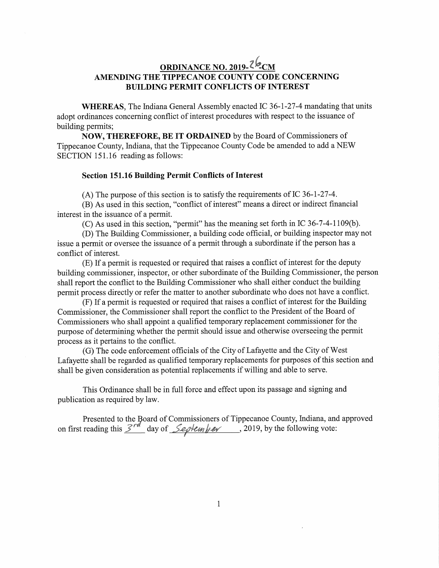## **ORDINANCE NO. 2019- -CM AMENDING THE TIPPECANOE COUNTY CODE CONCERNING BUILDING PERMIT CONFLICTS OF INTEREST**

**WHEREAS,** The Indiana General Assembly enacted IC 36-1-27-4 mandating that units adopt ordinances concerning conflict of interest procedures with respec<sup>t</sup> to the issuance of building permits;

**NOW, THEREFORE, BE IT ORDAINED** by the Board of Commissioners of Tippecanoe County, Indiana, that the Tippecanoe County Code be amended to add <sup>a</sup> NEW SECTION 151.16 reading as follows:

## **Section 151.16 Building Permit Conflicts of Interest**

(A) The purpose of this section is to satisfy the requirements of IC 36-1-27-4.

(B) As used in this section, "conflict of interest" means <sup>a</sup> direct or indirect financial interest in the issuance of <sup>a</sup> permit.

(C) As used in this section, "permit" has the meaning set forth in IC 36-7-4-1109(b).

(D) The Building Commissioner, <sup>a</sup> building code official, or building inspector may not issue <sup>a</sup> permit or oversee the issuance of <sup>a</sup> permit through <sup>a</sup> subordinate if the person has <sup>a</sup> conflict of interest.

(E) If <sup>a</sup> permit is requested or required that raises <sup>a</sup> conflict of interest for the deputy building commissioner, inspector, or other subordinate of the Building Commissioner, the person shall repor<sup>t</sup> the conflict to the Building Commissioner who shall either conduct the building permit process directly or refer the matter to another subordinate who does not have <sup>a</sup> conflict.

(F) If <sup>a</sup> permit is requested or required that raises <sup>a</sup> conflict of interest for the Building Commissioner, the Commissioner shall repor<sup>t</sup> the conflict to the President of the Board of Commissioners who shall appoint <sup>a</sup> qualified temporary replacement commissioner for the purpose of determining whether the permit should issue and otherwise overseeing the permit process as it pertains to the conflict.

(G) The code enforcement officials of the City of Lafayette and the City of West Lafayette shall be regarded as qualified temporary replacements for purposes of this section and shall be given consideration as potential replacements if willing and able to serve.

This Ordinance shall be in full force and effect upon its passage and signing and publication as required by law.

Presented to the Board of Commissioners of Tippecanoe County, Indiana, and approved on first reading this  $\frac{\mathcal{S}^{rd}}{\mathcal{S}^{ed}}$  day of  $\frac{\mathcal{S}^{eq}}{\mathcal{S}^{ed}}$  *A* 2019, by the following vote: